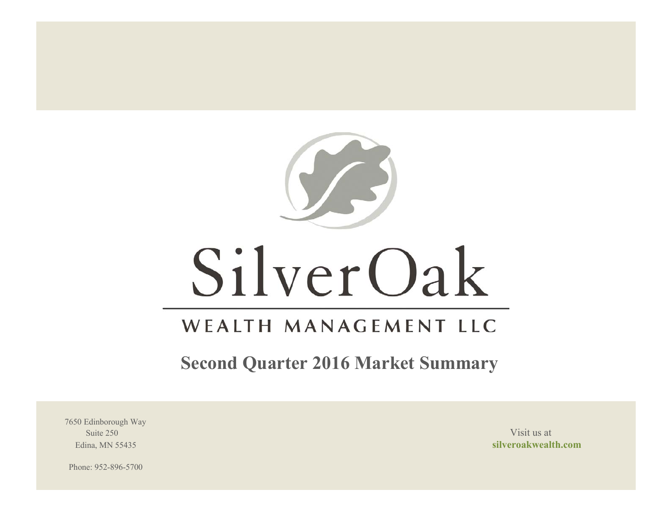

# SilverOak

# WEALTH MANAGEMENT LLC

**Second Quarter 2016 Market Summary**

7650 Edinborough Way Suite 250 Visit us at the set of the set of the set of the set of the set of the set of the set of the set of the set of the set of the set of the set of the set of the set of the set of the set of the set of the set of th

Edina, MN 55435 **silveroakwealth.com**

Phone: 952-896-5700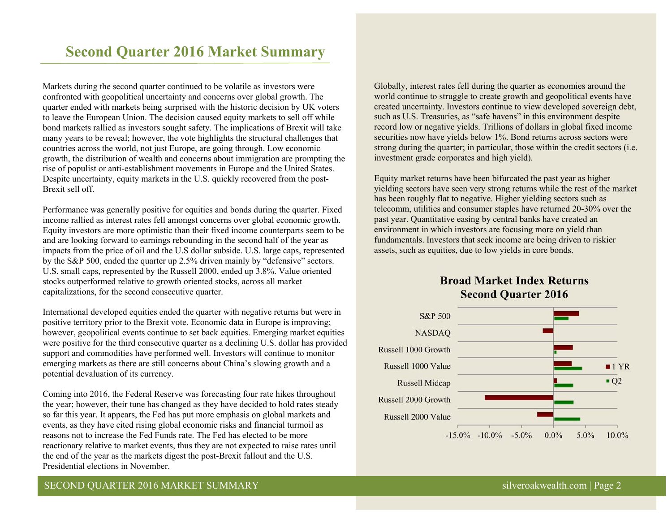# **Second Quarter 2016 Market Summary**

Markets during the second quarter continued to be volatile as investors were confronted with geopolitical uncertainty and concerns over global growth. The quarter ended with markets being surprised with the historic decision by UK voters to leave the European Union. The decision caused equity markets to sell off while bond markets rallied as investors sought safety. The implications of Brexit will take many years to be reveal; however, the vote highlights the structural challenges that countries across the world, not just Europe, are going through. Low economic growth, the distribution of wealth and concerns about immigration are prompting the rise of populist or anti-establishment movements in Europe and the United States. Despite uncertainty, equity markets in the U.S. quickly recovered from the post-Brexit sell off.

Performance was generally positive for equities and bonds during the quarter. Fixed income rallied as interest rates fell amongst concerns over global economic growth. Equity investors are more optimistic than their fixed income counterparts seem to be and are looking forward to earnings rebounding in the second half of the year as impacts from the price of oil and the U.S dollar subside. U.S. large caps, represented by the S&P 500, ended the quarter up 2.5% driven mainly by "defensive" sectors. U.S. small caps, represented by the Russell 2000, ended up 3.8%. Value oriented stocks outperformed relative to growth oriented stocks, across all market capitalizations, for the second consecutive quarter.

International developed equities ended the quarter with negative returns but were in positive territory prior to the Brexit vote. Economic data in Europe is improving; however, geopolitical events continue to set back equities. Emerging market equities were positive for the third consecutive quarter as a declining U.S. dollar has provided support and commodities have performed well. Investors will continue to monitor emerging markets as there are still concerns about China's slowing growth and a potential devaluation of its currency.

Coming into 2016, the Federal Reserve was forecasting four rate hikes throughout the year; however, their tune has changed as they have decided to hold rates steady so far this year. It appears, the Fed has put more emphasis on global markets and events, as they have cited rising global economic risks and financial turmoil as reasons not to increase the Fed Funds rate. The Fed has elected to be more reactionary relative to market events, thus they are not expected to raise rates until the end of the year as the markets digest the post-Brexit fallout and the U.S. Presidential elections in November.

Globally, interest rates fell during the quarter as economies around the world continue to struggle to create growth and geopolitical events have created uncertainty. Investors continue to view developed sovereign debt, such as U.S. Treasuries, as "safe havens" in this environment despite record low or negative yields. Trillions of dollars in global fixed income securities now have yields below 1%. Bond returns across sectors were strong during the quarter; in particular, those within the credit sectors (i.e. investment grade corporates and high yield).

Equity market returns have been bifurcated the past year as higher yielding sectors have seen very strong returns while the rest of the market has been roughly flat to negative. Higher yielding sectors such as telecomm, utilities and consumer staples have returned 20-30% over the past year. Quantitative easing by central banks have created an environment in which investors are focusing more on yield than fundamentals. Investors that seek income are being driven to riskier assets, such as equities, due to low yields in core bonds.



# **Broad Market Index Returns Second Quarter 2016**

# SECOND QUARTER 2016 MARKET SUMMARY silveroakwealth.com | Page 2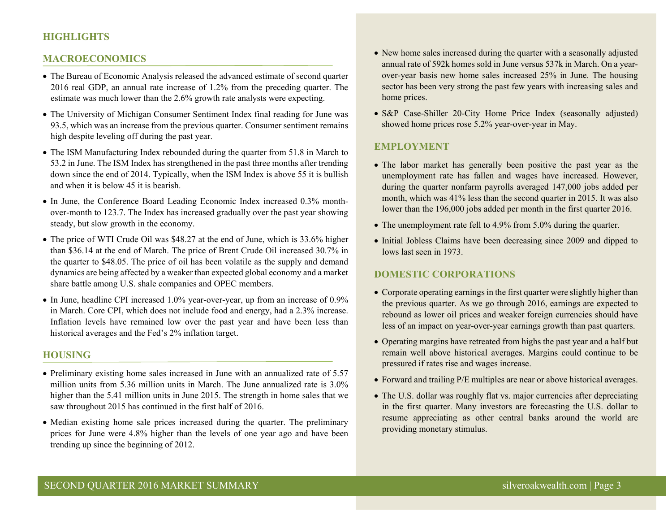# **HIGHLIGHTS**

#### **MACROECONOMICS**

- The Bureau of Economic Analysis released the advanced estimate of second quarter 2016 real GDP, an annual rate increase of 1.2% from the preceding quarter. The estimate was much lower than the 2.6% growth rate analysts were expecting.
- The University of Michigan Consumer Sentiment Index final reading for June was 93.5, which was an increase from the previous quarter. Consumer sentiment remains high despite leveling off during the past year.
- The ISM Manufacturing Index rebounded during the quarter from 51.8 in March to 53.2 in June. The ISM Index has strengthened in the past three months after trending down since the end of 2014. Typically, when the ISM Index is above 55 it is bullish and when it is below 45 it is bearish.
- In June, the Conference Board Leading Economic Index increased 0.3% monthover-month to 123.7. The Index has increased gradually over the past year showing steady, but slow growth in the economy.
- The price of WTI Crude Oil was \$48.27 at the end of June, which is 33.6% higher than \$36.14 at the end of March. The price of Brent Crude Oil increased 30.7% in the quarter to \$48.05. The price of oil has been volatile as the supply and demand dynamics are being affected by a weaker than expected global economy and a market share battle among U.S. shale companies and OPEC members.
- In June, headline CPI increased 1.0% year-over-year, up from an increase of 0.9% in March. Core CPI, which does not include food and energy, had a 2.3% increase. Inflation levels have remained low over the past year and have been less than historical averages and the Fed's 2% inflation target.

#### **HOUSING**

- Preliminary existing home sales increased in June with an annualized rate of 5.57 million units from 5.36 million units in March. The June annualized rate is 3.0% higher than the 5.41 million units in June 2015. The strength in home sales that we saw throughout 2015 has continued in the first half of 2016.
- Median existing home sale prices increased during the quarter. The preliminary prices for June were 4.8% higher than the levels of one year ago and have been trending up since the beginning of 2012.
- New home sales increased during the quarter with a seasonally adjusted annual rate of 592k homes sold in June versus 537k in March. On a yearover-year basis new home sales increased 25% in June. The housing sector has been very strong the past few years with increasing sales and home prices.
- S&P Case-Shiller 20-City Home Price Index (seasonally adjusted) showed home prices rose 5.2% year-over-year in May.

#### **EMPLOYMENT**

- The labor market has generally been positive the past year as the unemployment rate has fallen and wages have increased. However, during the quarter nonfarm payrolls averaged 147,000 jobs added per month, which was 41% less than the second quarter in 2015. It was also lower than the 196,000 jobs added per month in the first quarter 2016.
- The unemployment rate fell to 4.9% from 5.0% during the quarter.
- Initial Jobless Claims have been decreasing since 2009 and dipped to lows last seen in 1973.

#### **DOMESTIC CORPORATIONS**

- Corporate operating earnings in the first quarter were slightly higher than the previous quarter. As we go through 2016, earnings are expected to rebound as lower oil prices and weaker foreign currencies should have less of an impact on year-over-year earnings growth than past quarters.
- Operating margins have retreated from highs the past year and a half but remain well above historical averages. Margins could continue to be pressured if rates rise and wages increase.
- Forward and trailing P/E multiples are near or above historical averages.
- The U.S. dollar was roughly flat vs. major currencies after depreciating in the first quarter. Many investors are forecasting the U.S. dollar to resume appreciating as other central banks around the world are providing monetary stimulus.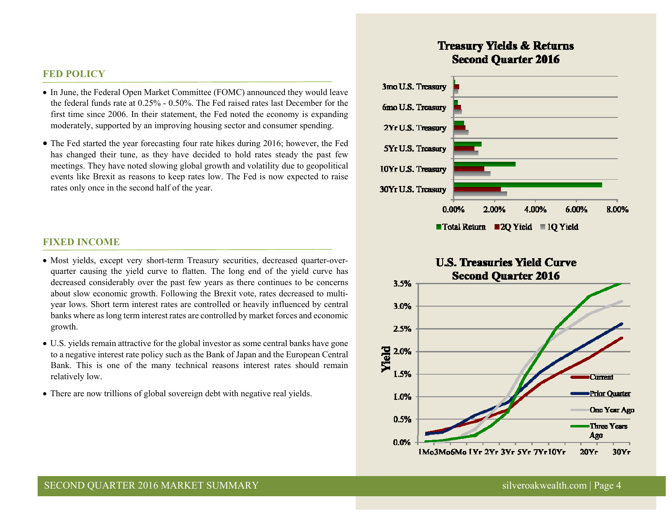#### **FED POLICY**

- In June, the Federal Open Market Committee (FOMC) announced they would leave the federal funds rate at 0.25% - 0.50%. The Fed raised rates last December for the first time since 2006. In their statement, the Fed noted the economy is expanding moderately, supported by an improving housing sector and consumer spending.
- The Fed started the year forecasting four rate hikes during 2016; however, the Fed has changed their tune, as they have decided to hold rates steady the past few meetings. They have noted slowing global growth and volatility due to geopolitical events like Brexit as reasons to keep rates low. The Fed is now expected to raise rates only once in the second half of the year.

#### **FIXED INCOME**

- Most yields, except very short-term Treasury securities, decreased quarter-overquarter causing the yield curve to flatten. The long end of the yield curve has decreased considerably over the past few years as there continues to be concerns about slow economic growth. Following the Brexit vote, rates decreased to multiyear lows. Short term interest rates are controlled or heavily influenced by central banks where as long term interest rates are controlled by market forces and economic growth.
- U.S. yields remain attractive for the global investor as some central banks have gone to a negative interest rate policy such as the Bank of Japan and the European Central Bank. This is one of the many technical reasons interest rates should remain relatively low.
- There are now trillions of global sovereign debt with negative real yields.

# **Treasury Yields & Returns Second Ouarter 2016**



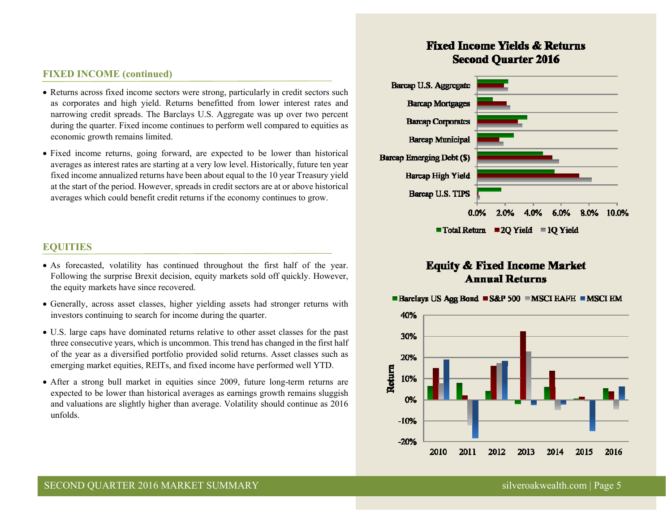### **FIXED INCOME (continued)**

- Returns across fixed income sectors were strong, particularly in credit sectors such as corporates and high yield. Returns benefitted from lower interest rates and narrowing credit spreads. The Barclays U.S. Aggregate was up over two percent during the quarter. Fixed income continues to perform well compared to equities as economic growth remains limited.
- Fixed income returns, going forward, are expected to be lower than historical averages as interest rates are starting at a very low level. Historically, future ten year fixed income annualized returns have been about equal to the 10 year Treasury yield at the start of the period. However, spreads in credit sectors are at or above historical averages which could benefit credit returns if the economy continues to grow.

# **EQUITIES**

- As forecasted, volatility has continued throughout the first half of the year. Following the surprise Brexit decision, equity markets sold off quickly. However, the equity markets have since recovered.
- Generally, across asset classes, higher yielding assets had stronger returns with investors continuing to search for income during the quarter.
- U.S. large caps have dominated returns relative to other asset classes for the past three consecutive years, which is uncommon. This trend has changed in the first half of the year as a diversified portfolio provided solid returns. Asset classes such as emerging market equities, REITs, and fixed income have performed well YTD.
- After a strong bull market in equities since 2009, future long-term returns are expected to be lower than historical averages as earnings growth remains sluggish and valuations are slightly higher than average. Volatility should continue as 2016 unfolds.

# **Fixed Income Yields & Returns Second Ouarter 2016**



# **Equity & Fixed Income Market Annual Returns**

■ Barclays US Agg Bond ■ S&P 500 ■ MSCI EAFE ■ MSCI EM

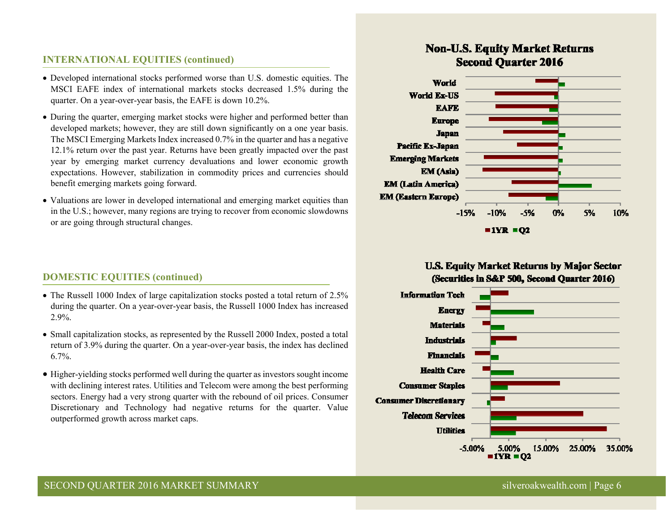# **INTERNATIONAL EQUITIES (continued)**

- Developed international stocks performed worse than U.S. domestic equities. The MSCI EAFE index of international markets stocks decreased 1.5% during the quarter. On a year-over-year basis, the EAFE is down 10.2%.
- During the quarter, emerging market stocks were higher and performed better than developed markets; however, they are still down significantly on a one year basis. The MSCI Emerging Markets Index increased 0.7% in the quarter and has a negative 12.1% return over the past year. Returns have been greatly impacted over the past year by emerging market currency devaluations and lower economic growth expectations. However, stabilization in commodity prices and currencies should benefit emerging markets going forward.
- Valuations are lower in developed international and emerging market equities than in the U.S.; however, many regions are trying to recover from economic slowdowns or are going through structural changes.

## **DOMESTIC EQUITIES (continued)**

- The Russell 1000 Index of large capitalization stocks posted a total return of 2.5% during the quarter. On a year-over-year basis, the Russell 1000 Index has increased 2.9%.
- Small capitalization stocks, as represented by the Russell 2000 Index, posted a total return of 3.9% during the quarter. On a year-over-year basis, the index has declined 6.7%.
- Higher-yielding stocks performed well during the quarter as investors sought income with declining interest rates. Utilities and Telecom were among the best performing sectors. Energy had a very strong quarter with the rebound of oil prices. Consumer Discretionary and Technology had negative returns for the quarter. Value outperformed growth across market caps.

# **Non-U.S. Equity Market Returns Second Ouarter 2016**



# **U.S. Equity Market Returns by Major Sector** (Securities in S&P 500, Second Quarter 2016)